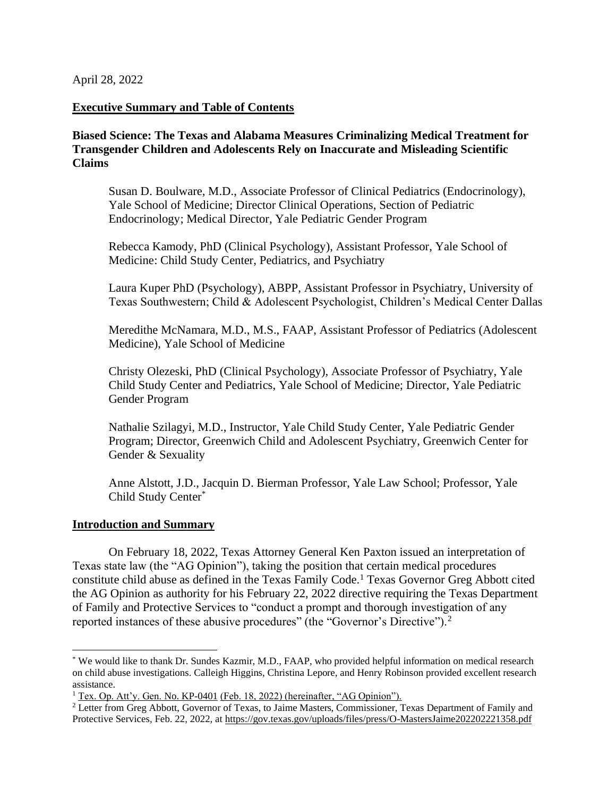April 28, 2022

#### **Executive Summary and Table of Contents**

**Biased Science: The Texas and Alabama Measures Criminalizing Medical Treatment for Transgender Children and Adolescents Rely on Inaccurate and Misleading Scientific Claims**

Susan D. Boulware, M.D., Associate Professor of Clinical Pediatrics (Endocrinology), Yale School of Medicine; Director Clinical Operations, Section of Pediatric Endocrinology; Medical Director, Yale Pediatric Gender Program

Rebecca Kamody, PhD (Clinical Psychology), Assistant Professor, Yale School of Medicine: Child Study Center, Pediatrics, and Psychiatry

Laura Kuper PhD (Psychology), ABPP, Assistant Professor in Psychiatry, University of Texas Southwestern; Child & Adolescent Psychologist, Children's Medical Center Dallas

Meredithe McNamara, M.D., M.S., FAAP, Assistant Professor of Pediatrics (Adolescent Medicine), Yale School of Medicine

Christy Olezeski, PhD (Clinical Psychology), Associate Professor of Psychiatry, Yale Child Study Center and Pediatrics, Yale School of Medicine; Director, Yale Pediatric Gender Program

Nathalie Szilagyi, M.D., Instructor, Yale Child Study Center, Yale Pediatric Gender Program; Director, Greenwich Child and Adolescent Psychiatry, Greenwich Center for Gender & Sexuality

Anne Alstott, J.D., Jacquin D. Bierman Professor, Yale Law School; Professor, Yale Child Study Center\*

#### **Introduction and Summary**

On February 18, 2022, Texas Attorney General Ken Paxton issued an interpretation of Texas state law (the "AG Opinion"), taking the position that certain medical procedures constitute child abuse as defined in the Texas Family Code.<sup>1</sup> Texas Governor Greg Abbott cited the AG Opinion as authority for his February 22, 2022 directive requiring the Texas Department of Family and Protective Services to "conduct a prompt and thorough investigation of any reported instances of these abusive procedures" (the "Governor's Directive").<sup>2</sup>

<sup>\*</sup> We would like to thank Dr. Sundes Kazmir, M.D., FAAP, who provided helpful information on medical research on child abuse investigations. Calleigh Higgins, Christina Lepore, and Henry Robinson provided excellent research assistance.

<sup>&</sup>lt;sup>1</sup> Tex. Op. Att'y. Gen. No. KP-0401 (Feb. 18, 2022) (hereinafter, "AG Opinion").

<sup>&</sup>lt;sup>2</sup> Letter from Greg Abbott, Governor of Texas, to Jaime Masters, Commissioner, Texas Department of Family and Protective Services, Feb. 22, 2022, a[t https://gov.texas.gov/uploads/files/press/O-MastersJaime202202221358.pdf](https://gov.texas.gov/uploads/files/press/O-MastersJaime202202221358.pdf)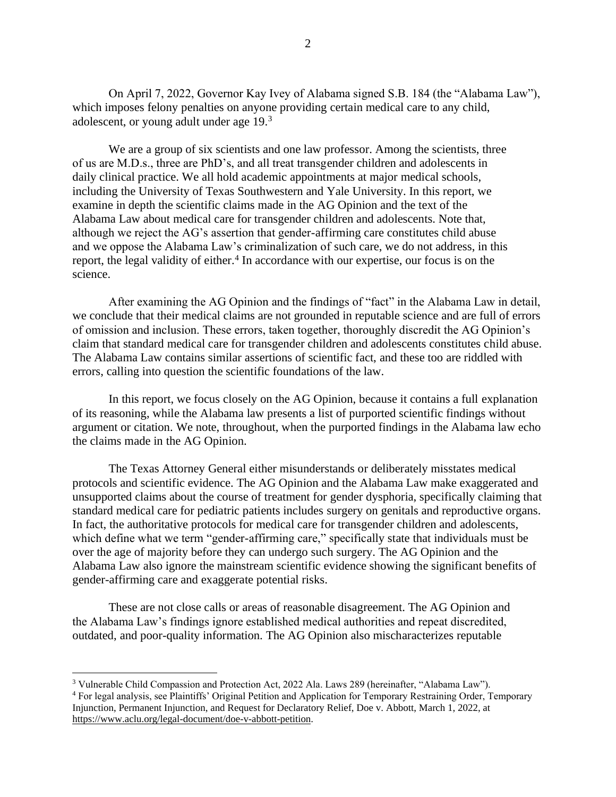On April 7, 2022, Governor Kay Ivey of Alabama signed S.B. 184 (the "Alabama Law"), which imposes felony penalties on anyone providing certain medical care to any child, adolescent, or young adult under age 19.<sup>3</sup>

We are a group of six scientists and one law professor. Among the scientists, three of us are M.D.s., three are PhD's, and all treat transgender children and adolescents in daily clinical practice. We all hold academic appointments at major medical schools, including the University of Texas Southwestern and Yale University. In this report, we examine in depth the scientific claims made in the AG Opinion and the text of the Alabama Law about medical care for transgender children and adolescents. Note that, although we reject the AG's assertion that gender-affirming care constitutes child abuse and we oppose the Alabama Law's criminalization of such care, we do not address, in this report, the legal validity of either.<sup>4</sup> In accordance with our expertise, our focus is on the science.

After examining the AG Opinion and the findings of "fact" in the Alabama Law in detail, we conclude that their medical claims are not grounded in reputable science and are full of errors of omission and inclusion. These errors, taken together, thoroughly discredit the AG Opinion's claim that standard medical care for transgender children and adolescents constitutes child abuse. The Alabama Law contains similar assertions of scientific fact, and these too are riddled with errors, calling into question the scientific foundations of the law.

In this report, we focus closely on the AG Opinion, because it contains a full explanation of its reasoning, while the Alabama law presents a list of purported scientific findings without argument or citation. We note, throughout, when the purported findings in the Alabama law echo the claims made in the AG Opinion.

The Texas Attorney General either misunderstands or deliberately misstates medical protocols and scientific evidence. The AG Opinion and the Alabama Law make exaggerated and unsupported claims about the course of treatment for gender dysphoria, specifically claiming that standard medical care for pediatric patients includes surgery on genitals and reproductive organs. In fact, the authoritative protocols for medical care for transgender children and adolescents, which define what we term "gender-affirming care," specifically state that individuals must be over the age of majority before they can undergo such surgery. The AG Opinion and the Alabama Law also ignore the mainstream scientific evidence showing the significant benefits of gender-affirming care and exaggerate potential risks.

These are not close calls or areas of reasonable disagreement. The AG Opinion and the Alabama Law's findings ignore established medical authorities and repeat discredited, outdated, and poor-quality information. The AG Opinion also mischaracterizes reputable

<sup>3</sup> Vulnerable Child Compassion and Protection Act, 2022 Ala. Laws 289 (hereinafter, "Alabama Law").

<sup>4</sup> For legal analysis, see Plaintiffs' Original Petition and Application for Temporary Restraining Order, Temporary Injunction, Permanent Injunction, and Request for Declaratory Relief, Doe v. Abbott, March 1, 2022, at [https://www.aclu.org/legal-document/doe-v-abbott-petition.](https://www.aclu.org/legal-document/doe-v-abbott-petition)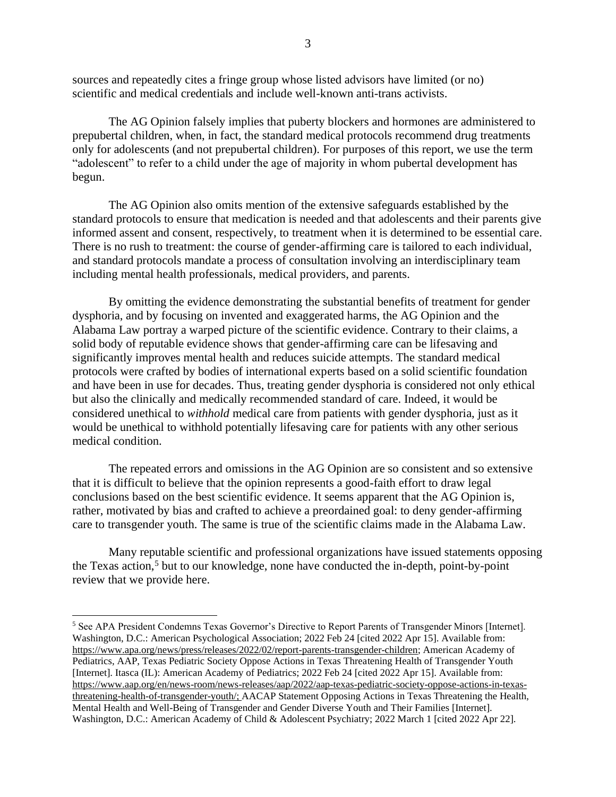sources and repeatedly cites a fringe group whose listed advisors have limited (or no) scientific and medical credentials and include well-known anti-trans activists.

The AG Opinion falsely implies that puberty blockers and hormones are administered to prepubertal children, when, in fact, the standard medical protocols recommend drug treatments only for adolescents (and not prepubertal children). For purposes of this report, we use the term "adolescent" to refer to a child under the age of majority in whom pubertal development has begun.

The AG Opinion also omits mention of the extensive safeguards established by the standard protocols to ensure that medication is needed and that adolescents and their parents give informed assent and consent, respectively, to treatment when it is determined to be essential care. There is no rush to treatment: the course of gender-affirming care is tailored to each individual, and standard protocols mandate a process of consultation involving an interdisciplinary team including mental health professionals, medical providers, and parents.

By omitting the evidence demonstrating the substantial benefits of treatment for gender dysphoria, and by focusing on invented and exaggerated harms, the AG Opinion and the Alabama Law portray a warped picture of the scientific evidence. Contrary to their claims, a solid body of reputable evidence shows that gender-affirming care can be lifesaving and significantly improves mental health and reduces suicide attempts. The standard medical protocols were crafted by bodies of international experts based on a solid scientific foundation and have been in use for decades. Thus, treating gender dysphoria is considered not only ethical but also the clinically and medically recommended standard of care. Indeed, it would be considered unethical to *withhold* medical care from patients with gender dysphoria, just as it would be unethical to withhold potentially lifesaving care for patients with any other serious medical condition.

The repeated errors and omissions in the AG Opinion are so consistent and so extensive that it is difficult to believe that the opinion represents a good-faith effort to draw legal conclusions based on the best scientific evidence. It seems apparent that the AG Opinion is, rather, motivated by bias and crafted to achieve a preordained goal: to deny gender-affirming care to transgender youth. The same is true of the scientific claims made in the Alabama Law.

Many reputable scientific and professional organizations have issued statements opposing the Texas action,<sup>5</sup> but to our knowledge, none have conducted the in-depth, point-by-point review that we provide here.

<sup>5</sup> See APA President Condemns Texas Governor's Directive to Report Parents of Transgender Minors [Internet]. Washington, D.C.: American Psychological Association; 2022 Feb 24 [cited 2022 Apr 15]. Available from: [https://www.apa.org/news/press/releases/2022/02/report-parents-transgender-children;](https://www.apa.org/news/press/releases/2022/02/report-parents-transgender-children) American Academy of Pediatrics, AAP, Texas Pediatric Society Oppose Actions in Texas Threatening Health of Transgender Youth [Internet]. Itasca (IL): American Academy of Pediatrics; 2022 Feb 24 [cited 2022 Apr 15]. Available from: [https://www.aap.org/en/news-room/news-releases/aap/2022/aap-texas-pediatric-society-oppose-actions-in-texas](https://www.aap.org/en/news-room/news-releases/aap/2022/aap-texas-pediatric-society-oppose-actions-in-texas-threatening-health-of-transgender-youth/)[threatening-health-of-transgender-youth/;](https://www.aap.org/en/news-room/news-releases/aap/2022/aap-texas-pediatric-society-oppose-actions-in-texas-threatening-health-of-transgender-youth/) AACAP Statement Opposing Actions in Texas Threatening the Health, Mental Health and Well-Being of Transgender and Gender Diverse Youth and Their Families [Internet]. Washington, D.C.: American Academy of Child & Adolescent Psychiatry; 2022 March 1 [cited 2022 Apr 22].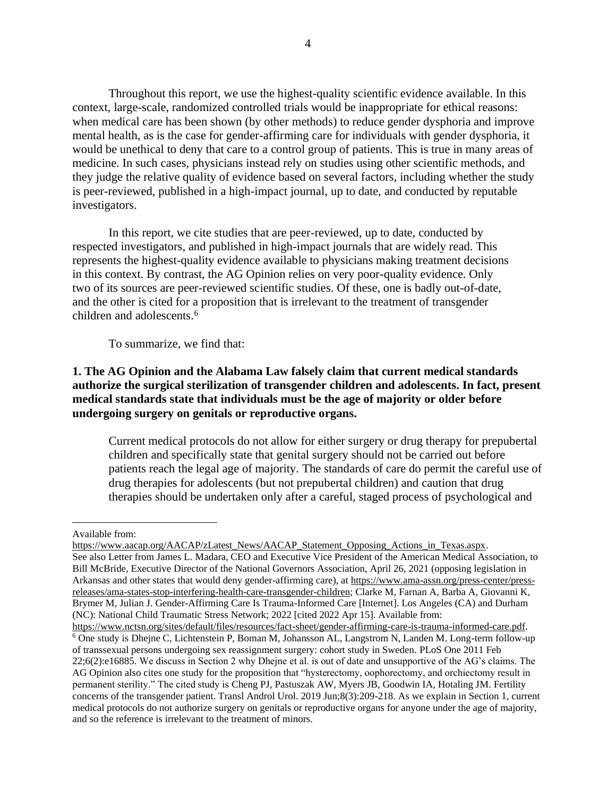Throughout this report, we use the highest-quality scientific evidence available. In this context, large-scale, randomized controlled trials would be inappropriate for ethical reasons: when medical care has been shown (by other methods) to reduce gender dysphoria and improve mental health, as is the case for gender-affirming care for individuals with gender dysphoria, it would be unethical to deny that care to a control group of patients. This is true in many areas of medicine. In such cases, physicians instead rely on studies using other scientific methods, and they judge the relative quality of evidence based on several factors, including whether the study is peer-reviewed, published in a high-impact journal, up to date, and conducted by reputable investigators.

In this report, we cite studies that are peer-reviewed, up to date, conducted by respected investigators, and published in high-impact journals that are widely read. This represents the highest-quality evidence available to physicians making treatment decisions in this context. By contrast, the AG Opinion relies on very poor-quality evidence. Only two of its sources are peer-reviewed scientific studies. Of these, one is badly out-of-date, and the other is cited for a proposition that is irrelevant to the treatment of transgender children and adolescents.<sup>6</sup>

To summarize, we find that:

## **1. The AG Opinion and the Alabama Law falsely claim that current medical standards authorize the surgical sterilization of transgender children and adolescents. In fact, present medical standards state that individuals must be the age of majority or older before undergoing surgery on genitals or reproductive organs.**

Current medical protocols do not allow for either surgery or drug therapy for prepubertal children and specifically state that genital surgery should not be carried out before patients reach the legal age of majority. The standards of care do permit the careful use of drug therapies for adolescents (but not prepubertal children) and caution that drug therapies should be undertaken only after a careful, staged process of psychological and

Available from:

[https://www.aacap.org/AACAP/zLatest\\_News/AACAP\\_Statement\\_Opposing\\_Actions\\_in\\_Texas.aspx.](https://www.aacap.org/AACAP/zLatest_News/AACAP_Statement_Opposing_Actions_in_Texas.aspx) See also Letter from James L. Madara, CEO and Executive Vice President of the American Medical Association, to Bill McBride, Executive Director of the National Governors Association, April 26, 2021 (opposing legislation in Arkansas and other states that would deny gender-affirming care), at [https://www.ama-assn.org/press-center/press](https://www.ama-assn.org/press-center/press-releases/ama-states-stop-interfering-health-care-transgender-children)[releases/ama-states-stop-interfering-health-care-transgender-children;](https://www.ama-assn.org/press-center/press-releases/ama-states-stop-interfering-health-care-transgender-children) Clarke M, Farnan A, Barba A, Giovanni K, Brymer M, Julian J. Gender-Affirming Care Is Trauma-Informed Care [Internet]. Los Angeles (CA) and Durham (NC): National Child Traumatic Stress Network; 2022 [cited 2022 Apr 15]. Available from: [https://www.nctsn.org/sites/default/files/resources/fact-sheet/gender-affirming-care-is-trauma-informed-care.pdf.](https://www.nctsn.org/sites/default/files/resources/fact-sheet/gender-affirming-care-is-trauma-informed-care.pdf)

<sup>6</sup> One study is Dhejne C, Lichtenstein P, Boman M, Johansson AL, Langstrom N, Landen M. Long-term follow-up of transsexual persons undergoing sex reassignment surgery: cohort study in Sweden. PLoS One 2011 Feb 22;6(2):e16885. We discuss in Section 2 why Dhejne et al. is out of date and unsupportive of the AG's claims. The AG Opinion also cites one study for the proposition that "hysterectomy, oophorectomy, and orchiectomy result in permanent sterility." The cited study is Cheng PJ, Pastuszak AW, Myers JB, Goodwin IA, Hotaling JM. Fertility concerns of the transgender patient. Transl Androl Urol. 2019 Jun;8(3):209-218. As we explain in Section 1, current medical protocols do not authorize surgery on genitals or reproductive organs for anyone under the age of majority, and so the reference is irrelevant to the treatment of minors.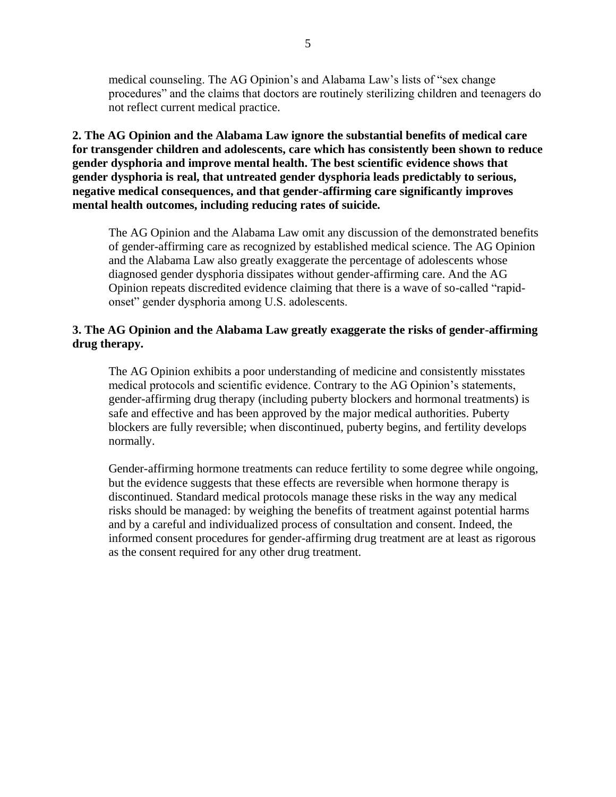medical counseling. The AG Opinion's and Alabama Law's lists of "sex change procedures" and the claims that doctors are routinely sterilizing children and teenagers do not reflect current medical practice.

**2. The AG Opinion and the Alabama Law ignore the substantial benefits of medical care for transgender children and adolescents, care which has consistently been shown to reduce gender dysphoria and improve mental health. The best scientific evidence shows that gender dysphoria is real, that untreated gender dysphoria leads predictably to serious, negative medical consequences, and that gender-affirming care significantly improves mental health outcomes, including reducing rates of suicide.** 

The AG Opinion and the Alabama Law omit any discussion of the demonstrated benefits of gender-affirming care as recognized by established medical science. The AG Opinion and the Alabama Law also greatly exaggerate the percentage of adolescents whose diagnosed gender dysphoria dissipates without gender-affirming care. And the AG Opinion repeats discredited evidence claiming that there is a wave of so-called "rapidonset" gender dysphoria among U.S. adolescents.

## **3. The AG Opinion and the Alabama Law greatly exaggerate the risks of gender-affirming drug therapy.**

The AG Opinion exhibits a poor understanding of medicine and consistently misstates medical protocols and scientific evidence. Contrary to the AG Opinion's statements, gender-affirming drug therapy (including puberty blockers and hormonal treatments) is safe and effective and has been approved by the major medical authorities. Puberty blockers are fully reversible; when discontinued, puberty begins, and fertility develops normally.

Gender-affirming hormone treatments can reduce fertility to some degree while ongoing, but the evidence suggests that these effects are reversible when hormone therapy is discontinued. Standard medical protocols manage these risks in the way any medical risks should be managed: by weighing the benefits of treatment against potential harms and by a careful and individualized process of consultation and consent. Indeed, the informed consent procedures for gender-affirming drug treatment are at least as rigorous as the consent required for any other drug treatment.